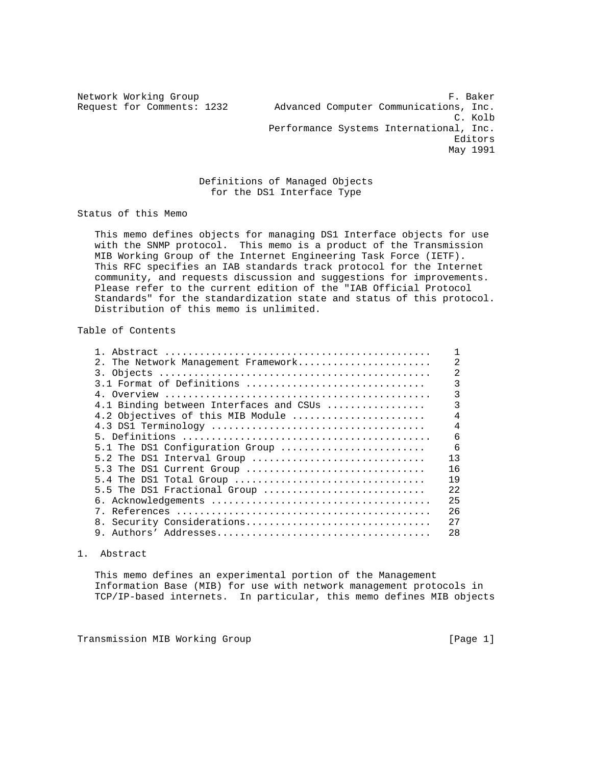Network Working Group **F. Baker** Request for Comments: 1232 Advanced Computer Communications, Inc. C. Kolb Performance Systems International, Inc. Editors May 1991

## Definitions of Managed Objects for the DS1 Interface Type

Status of this Memo

 This memo defines objects for managing DS1 Interface objects for use with the SNMP protocol. This memo is a product of the Transmission MIB Working Group of the Internet Engineering Task Force (IETF). This RFC specifies an IAB standards track protocol for the Internet community, and requests discussion and suggestions for improvements. Please refer to the current edition of the "IAB Official Protocol Standards" for the standardization state and status of this protocol. Distribution of this memo is unlimited.

# Table of Contents

| 2. The Network Management Framework     | 2              |
|-----------------------------------------|----------------|
|                                         | $\overline{2}$ |
| 3.1 Format of Definitions               | 3              |
|                                         | 3              |
| 4.1 Binding between Interfaces and CSUs | 3              |
| 4.2 Objectives of this MIB Module       | $\overline{4}$ |
|                                         | $\overline{4}$ |
|                                         | 6              |
| 5.1 The DS1 Configuration Group         | $\epsilon$     |
| 5.2 The DS1 Interval Group              | 13             |
| 5.3 The DS1 Current Group               | 16             |
| 5.4 The DS1 Total Group                 | 19             |
| 5.5 The DS1 Fractional Group            | 2.2.           |
|                                         | 25             |
|                                         | 26             |
| 8. Security Considerations              | 2.7            |
| 9.                                      | 28             |

### 1. Abstract

 This memo defines an experimental portion of the Management Information Base (MIB) for use with network management protocols in TCP/IP-based internets. In particular, this memo defines MIB objects

Transmission MIB Working Group and the control of the control of the control of the control of the control of  $[Page 1]$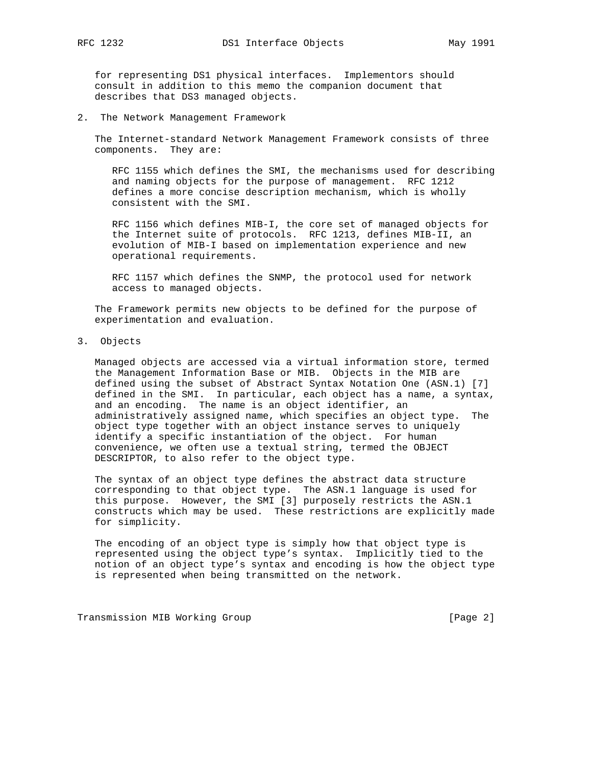for representing DS1 physical interfaces. Implementors should consult in addition to this memo the companion document that describes that DS3 managed objects.

2. The Network Management Framework

 The Internet-standard Network Management Framework consists of three components. They are:

 RFC 1155 which defines the SMI, the mechanisms used for describing and naming objects for the purpose of management. RFC 1212 defines a more concise description mechanism, which is wholly consistent with the SMI.

 RFC 1156 which defines MIB-I, the core set of managed objects for the Internet suite of protocols. RFC 1213, defines MIB-II, an evolution of MIB-I based on implementation experience and new operational requirements.

 RFC 1157 which defines the SNMP, the protocol used for network access to managed objects.

 The Framework permits new objects to be defined for the purpose of experimentation and evaluation.

3. Objects

 Managed objects are accessed via a virtual information store, termed the Management Information Base or MIB. Objects in the MIB are defined using the subset of Abstract Syntax Notation One (ASN.1) [7] defined in the SMI. In particular, each object has a name, a syntax, and an encoding. The name is an object identifier, an administratively assigned name, which specifies an object type. The object type together with an object instance serves to uniquely identify a specific instantiation of the object. For human convenience, we often use a textual string, termed the OBJECT DESCRIPTOR, to also refer to the object type.

 The syntax of an object type defines the abstract data structure corresponding to that object type. The ASN.1 language is used for this purpose. However, the SMI [3] purposely restricts the ASN.1 constructs which may be used. These restrictions are explicitly made for simplicity.

 The encoding of an object type is simply how that object type is represented using the object type's syntax. Implicitly tied to the notion of an object type's syntax and encoding is how the object type is represented when being transmitted on the network.

Transmission MIB Working Group **[Page 2]** [Page 2]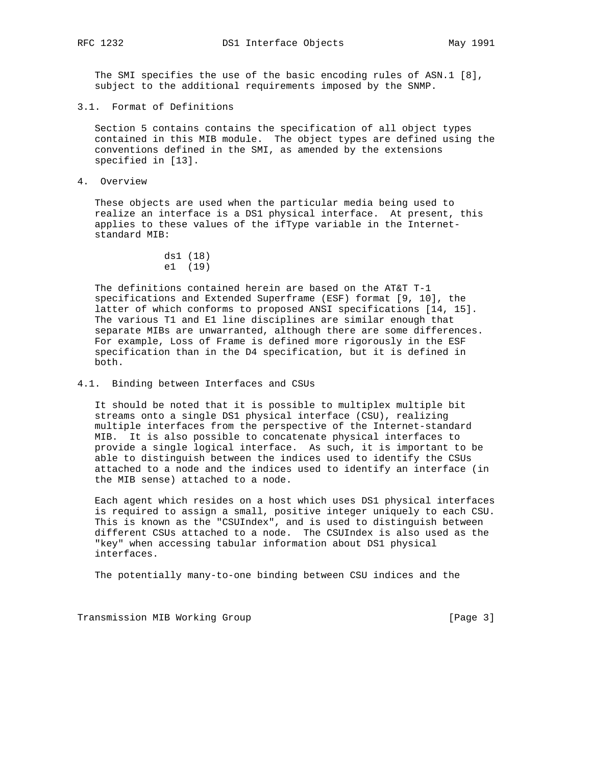The SMI specifies the use of the basic encoding rules of ASN.1 [8], subject to the additional requirements imposed by the SNMP.

3.1. Format of Definitions

 Section 5 contains contains the specification of all object types contained in this MIB module. The object types are defined using the conventions defined in the SMI, as amended by the extensions specified in [13].

4. Overview

 These objects are used when the particular media being used to realize an interface is a DS1 physical interface. At present, this applies to these values of the ifType variable in the Internet standard MIB:

```
 ds1 (18)
 e1 (19)
```
 The definitions contained herein are based on the AT&T T-1 specifications and Extended Superframe (ESF) format [9, 10], the latter of which conforms to proposed ANSI specifications [14, 15]. The various T1 and E1 line disciplines are similar enough that separate MIBs are unwarranted, although there are some differences. For example, Loss of Frame is defined more rigorously in the ESF specification than in the D4 specification, but it is defined in both.

4.1. Binding between Interfaces and CSUs

 It should be noted that it is possible to multiplex multiple bit streams onto a single DS1 physical interface (CSU), realizing multiple interfaces from the perspective of the Internet-standard MIB. It is also possible to concatenate physical interfaces to provide a single logical interface. As such, it is important to be able to distinguish between the indices used to identify the CSUs attached to a node and the indices used to identify an interface (in the MIB sense) attached to a node.

 Each agent which resides on a host which uses DS1 physical interfaces is required to assign a small, positive integer uniquely to each CSU. This is known as the "CSUIndex", and is used to distinguish between different CSUs attached to a node. The CSUIndex is also used as the "key" when accessing tabular information about DS1 physical interfaces.

The potentially many-to-one binding between CSU indices and the

Transmission MIB Working Group **[Page 3]** [Page 3]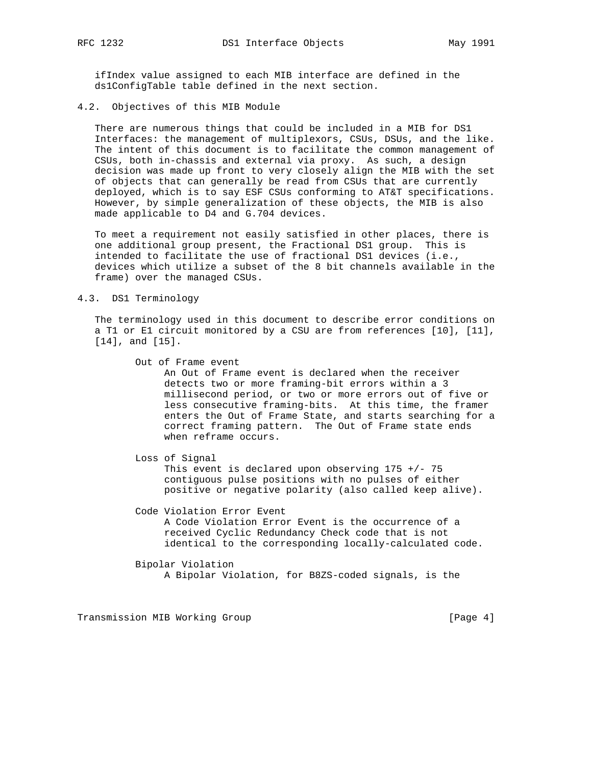ifIndex value assigned to each MIB interface are defined in the ds1ConfigTable table defined in the next section.

4.2. Objectives of this MIB Module

 There are numerous things that could be included in a MIB for DS1 Interfaces: the management of multiplexors, CSUs, DSUs, and the like. The intent of this document is to facilitate the common management of CSUs, both in-chassis and external via proxy. As such, a design decision was made up front to very closely align the MIB with the set of objects that can generally be read from CSUs that are currently deployed, which is to say ESF CSUs conforming to AT&T specifications. However, by simple generalization of these objects, the MIB is also made applicable to D4 and G.704 devices.

 To meet a requirement not easily satisfied in other places, there is one additional group present, the Fractional DS1 group. This is intended to facilitate the use of fractional DS1 devices (i.e., devices which utilize a subset of the 8 bit channels available in the frame) over the managed CSUs.

#### 4.3. DS1 Terminology

 The terminology used in this document to describe error conditions on a T1 or E1 circuit monitored by a CSU are from references [10], [11], [14], and [15].

Out of Frame event

 An Out of Frame event is declared when the receiver detects two or more framing-bit errors within a 3 millisecond period, or two or more errors out of five or less consecutive framing-bits. At this time, the framer enters the Out of Frame State, and starts searching for a correct framing pattern. The Out of Frame state ends when reframe occurs.

 Loss of Signal This event is declared upon observing  $175 +/- 75$  contiguous pulse positions with no pulses of either positive or negative polarity (also called keep alive).

 Code Violation Error Event A Code Violation Error Event is the occurrence of a received Cyclic Redundancy Check code that is not identical to the corresponding locally-calculated code.

 Bipolar Violation A Bipolar Violation, for B8ZS-coded signals, is the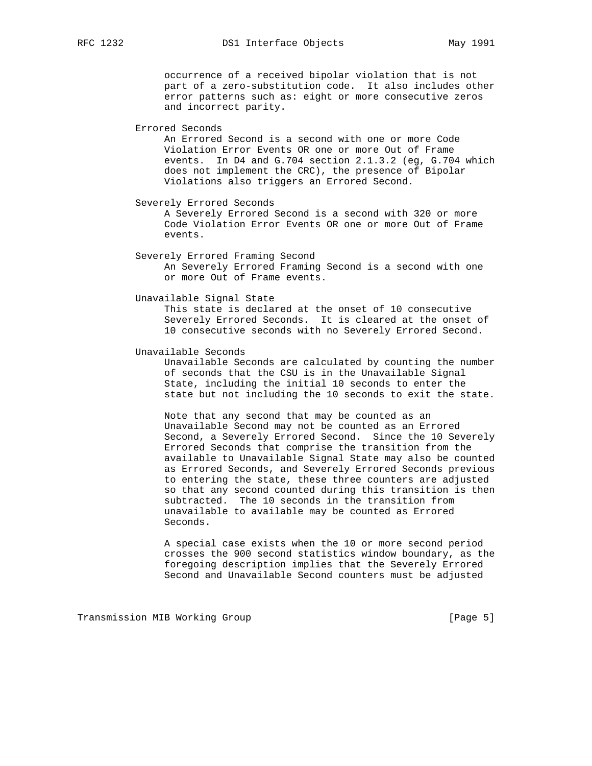occurrence of a received bipolar violation that is not part of a zero-substitution code. It also includes other error patterns such as: eight or more consecutive zeros and incorrect parity.

Errored Seconds

 An Errored Second is a second with one or more Code Violation Error Events OR one or more Out of Frame events. In D4 and G.704 section 2.1.3.2 (eg, G.704 which does not implement the CRC), the presence of Bipolar Violations also triggers an Errored Second.

Severely Errored Seconds

 A Severely Errored Second is a second with 320 or more Code Violation Error Events OR one or more Out of Frame events.

 Severely Errored Framing Second An Severely Errored Framing Second is a second with one or more Out of Frame events.

#### Unavailable Signal State

 This state is declared at the onset of 10 consecutive Severely Errored Seconds. It is cleared at the onset of 10 consecutive seconds with no Severely Errored Second.

#### Unavailable Seconds

 Unavailable Seconds are calculated by counting the number of seconds that the CSU is in the Unavailable Signal State, including the initial 10 seconds to enter the state but not including the 10 seconds to exit the state.

 Note that any second that may be counted as an Unavailable Second may not be counted as an Errored Second, a Severely Errored Second. Since the 10 Severely Errored Seconds that comprise the transition from the available to Unavailable Signal State may also be counted as Errored Seconds, and Severely Errored Seconds previous to entering the state, these three counters are adjusted so that any second counted during this transition is then subtracted. The 10 seconds in the transition from unavailable to available may be counted as Errored Seconds.

 A special case exists when the 10 or more second period crosses the 900 second statistics window boundary, as the foregoing description implies that the Severely Errored Second and Unavailable Second counters must be adjusted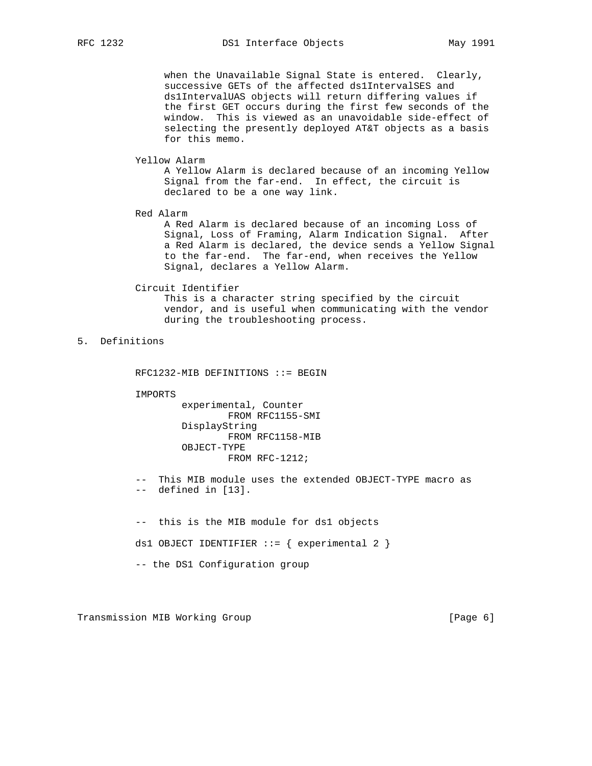when the Unavailable Signal State is entered. Clearly, successive GETs of the affected ds1IntervalSES and ds1IntervalUAS objects will return differing values if the first GET occurs during the first few seconds of the window. This is viewed as an unavoidable side-effect of selecting the presently deployed AT&T objects as a basis for this memo.

#### Yellow Alarm

 A Yellow Alarm is declared because of an incoming Yellow Signal from the far-end. In effect, the circuit is declared to be a one way link.

Red Alarm

 A Red Alarm is declared because of an incoming Loss of Signal, Loss of Framing, Alarm Indication Signal. After a Red Alarm is declared, the device sends a Yellow Signal to the far-end. The far-end, when receives the Yellow Signal, declares a Yellow Alarm.

#### Circuit Identifier

 This is a character string specified by the circuit vendor, and is useful when communicating with the vendor during the troubleshooting process.

# 5. Definitions

RFC1232-MIB DEFINITIONS ::= BEGIN

IMPORTS

 experimental, Counter FROM RFC1155-SMI DisplayString FROM RFC1158-MIB OBJECT-TYPE FROM RFC-1212;

 -- This MIB module uses the extended OBJECT-TYPE macro as -- defined in [13].

 -- this is the MIB module for ds1 objects ds1 OBJECT IDENTIFIER  $::=$  { experimental 2 } -- the DS1 Configuration group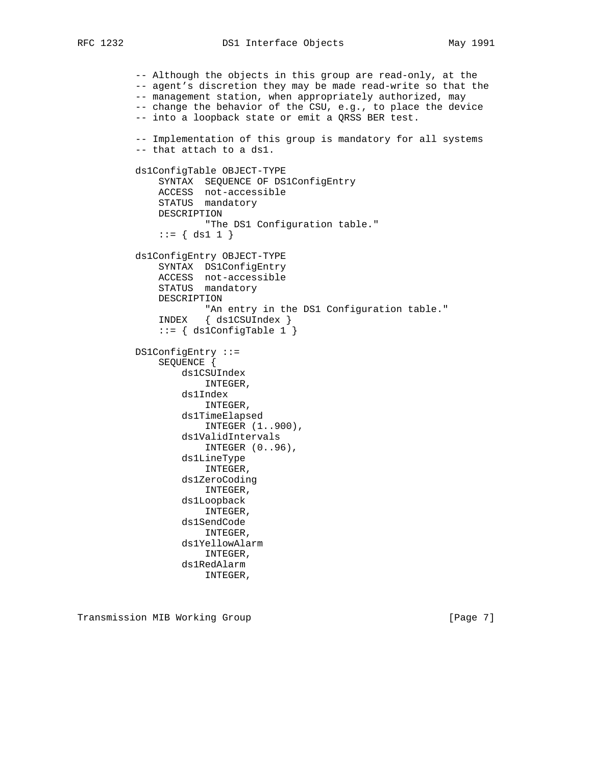```
 -- Although the objects in this group are read-only, at the
 -- agent's discretion they may be made read-write so that the
 -- management station, when appropriately authorized, may
 -- change the behavior of the CSU, e.g., to place the device
 -- into a loopback state or emit a QRSS BER test.
 -- Implementation of this group is mandatory for all systems
 -- that attach to a ds1.
 ds1ConfigTable OBJECT-TYPE
     SYNTAX SEQUENCE OF DS1ConfigEntry
     ACCESS not-accessible
     STATUS mandatory
     DESCRIPTION
            "The DS1 Configuration table."
    ::= \{ ds1 1 \} ds1ConfigEntry OBJECT-TYPE
     SYNTAX DS1ConfigEntry
     ACCESS not-accessible
     STATUS mandatory
     DESCRIPTION
            "An entry in the DS1 Configuration table."
     INDEX { ds1CSUIndex }
     ::= { ds1ConfigTable 1 }
 DS1ConfigEntry ::=
     SEQUENCE {
         ds1CSUIndex
             INTEGER,
         ds1Index
             INTEGER,
         ds1TimeElapsed
             INTEGER (1..900),
         ds1ValidIntervals
             INTEGER (0..96),
         ds1LineType
             INTEGER,
         ds1ZeroCoding
             INTEGER,
         ds1Loopback
             INTEGER,
         ds1SendCode
             INTEGER,
         ds1YellowAlarm
             INTEGER,
         ds1RedAlarm
             INTEGER,
```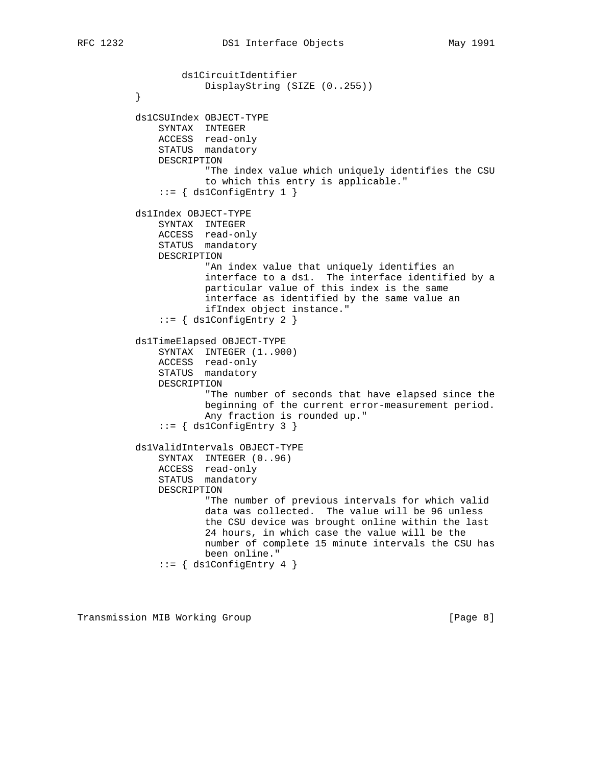```
 ds1CircuitIdentifier
         DisplayString (SIZE (0..255))<br>}
 }
          ds1CSUIndex OBJECT-TYPE
              SYNTAX INTEGER
              ACCESS read-only
              STATUS mandatory
              DESCRIPTION
                     "The index value which uniquely identifies the CSU
                     to which this entry is applicable."
             ::= { ds1ConfigEntry 1 }
          ds1Index OBJECT-TYPE
              SYNTAX INTEGER
 ACCESS read-only
STATUS mandatory
              DESCRIPTION
                     "An index value that uniquely identifies an
                     interface to a ds1. The interface identified by a
                     particular value of this index is the same
                     interface as identified by the same value an
                     ifIndex object instance."
             ::= { ds1ConfigEntry 2 }
          ds1TimeElapsed OBJECT-TYPE
              SYNTAX INTEGER (1..900)
 ACCESS read-only
STATUS mandatory
              DESCRIPTION
                     "The number of seconds that have elapsed since the
                     beginning of the current error-measurement period.
                     Any fraction is rounded up."
             ::= \{ ds1ConfigEntry 3 \} ds1ValidIntervals OBJECT-TYPE
              SYNTAX INTEGER (0..96)
 ACCESS read-only
STATUS mandatory
              DESCRIPTION
                     "The number of previous intervals for which valid
                     data was collected. The value will be 96 unless
                     the CSU device was brought online within the last
                     24 hours, in which case the value will be the
                     number of complete 15 minute intervals the CSU has
                     been online."
             ::= { ds1ConfigEntry 4 }
```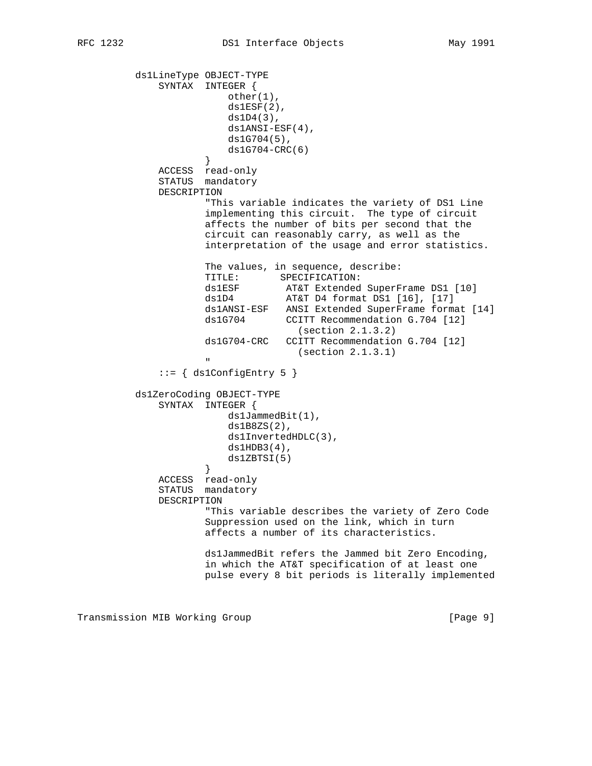```
 ds1LineType OBJECT-TYPE
             SYNTAX INTEGER {
                        other(1),
                       ds1ESF(2),
                        ds1D4(3),
                        ds1ANSI-ESF(4),
                        ds1G704(5),
                        ds1G704-CRC(6)
 }
             ACCESS read-only
             STATUS mandatory
             DESCRIPTION
                    "This variable indicates the variety of DS1 Line
                    implementing this circuit. The type of circuit
                    affects the number of bits per second that the
                    circuit can reasonably carry, as well as the
                    interpretation of the usage and error statistics.
                    The values, in sequence, describe:
                    TITLE: SPECIFICATION:
 ds1ESF AT&T Extended SuperFrame DS1 [10]
 ds1D4 AT&T D4 format DS1 [16], [17]
                    ds1ANSI-ESF ANSI Extended SuperFrame format [14]
                    ds1G704 CCITT Recommendation G.704 [12]
                                  (section 2.1.3.2)
                    ds1G704-CRC CCITT Recommendation G.704 [12]
                                (section 2.1.3.1)
 "
             ::= { ds1ConfigEntry 5 }
         ds1ZeroCoding OBJECT-TYPE
             SYNTAX INTEGER {
                       ds1JammedBit(1),
                        ds1B8ZS(2),
                       ds1InvertedHDLC(3),
                       ds1HDB3(4),
                   ds1ZBTSI(5) }
 ACCESS read-only
STATUS mandatory
             DESCRIPTION
                    "This variable describes the variety of Zero Code
                    Suppression used on the link, which in turn
                    affects a number of its characteristics.
                    ds1JammedBit refers the Jammed bit Zero Encoding,
                    in which the AT&T specification of at least one
                    pulse every 8 bit periods is literally implemented
```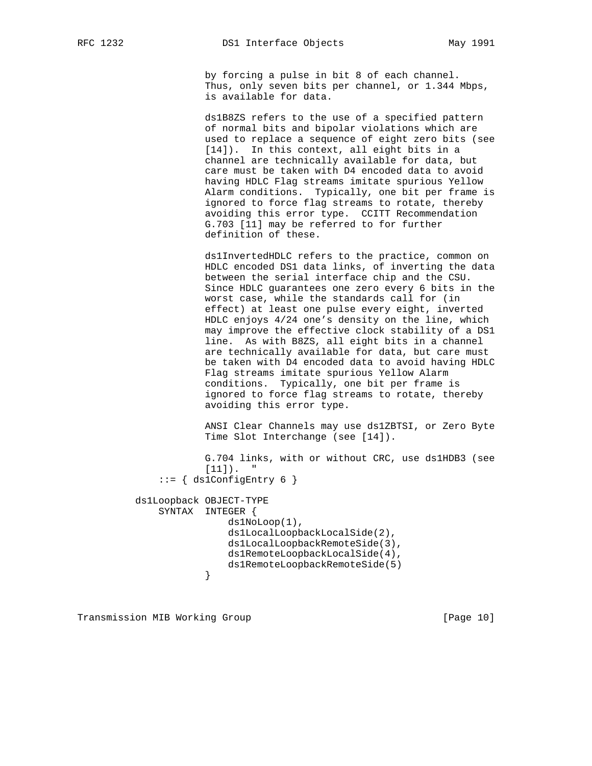by forcing a pulse in bit 8 of each channel. Thus, only seven bits per channel, or 1.344 Mbps, is available for data.

 ds1B8ZS refers to the use of a specified pattern of normal bits and bipolar violations which are used to replace a sequence of eight zero bits (see [14]). In this context, all eight bits in a channel are technically available for data, but care must be taken with D4 encoded data to avoid having HDLC Flag streams imitate spurious Yellow Alarm conditions. Typically, one bit per frame is ignored to force flag streams to rotate, thereby avoiding this error type. CCITT Recommendation G.703 [11] may be referred to for further definition of these.

 ds1InvertedHDLC refers to the practice, common on HDLC encoded DS1 data links, of inverting the data between the serial interface chip and the CSU. Since HDLC guarantees one zero every 6 bits in the worst case, while the standards call for (in effect) at least one pulse every eight, inverted HDLC enjoys 4/24 one's density on the line, which may improve the effective clock stability of a DS1 line. As with B8ZS, all eight bits in a channel are technically available for data, but care must be taken with D4 encoded data to avoid having HDLC Flag streams imitate spurious Yellow Alarm conditions. Typically, one bit per frame is ignored to force flag streams to rotate, thereby avoiding this error type.

 ANSI Clear Channels may use ds1ZBTSI, or Zero Byte Time Slot Interchange (see [14]).

```
 G.704 links, with or without CRC, use ds1HDB3 (see
            [11]).
     ::= { ds1ConfigEntry 6 }
 ds1Loopback OBJECT-TYPE
     SYNTAX INTEGER {
                 ds1NoLoop(1),
                 ds1LocalLoopbackLocalSide(2),
                 ds1LocalLoopbackRemoteSide(3),
                 ds1RemoteLoopbackLocalSide(4),
            ds1RemoteLoopbackRemoteSide(5)<br>}
```

```
 }
```
Transmission MIB Working Group **[Page 10]** [Page 10]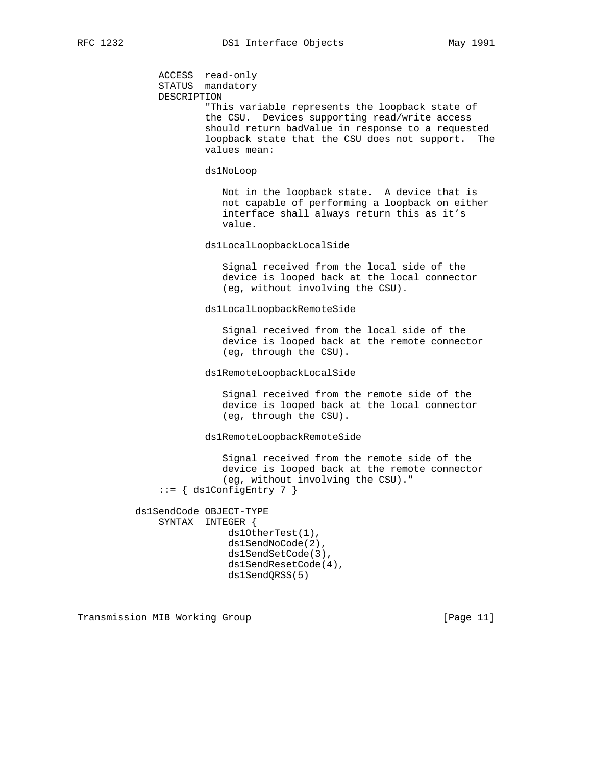ACCESS read-only STATUS mandatory DESCRIPTION "This variable represents the loopback state of the CSU. Devices supporting read/write access should return badValue in response to a requested loopback state that the CSU does not support. The values mean: ds1NoLoop Not in the loopback state. A device that is not capable of performing a loopback on either interface shall always return this as it's value. ds1LocalLoopbackLocalSide Signal received from the local side of the device is looped back at the local connector (eg, without involving the CSU). ds1LocalLoopbackRemoteSide Signal received from the local side of the device is looped back at the remote connector (eg, through the CSU). ds1RemoteLoopbackLocalSide Signal received from the remote side of the device is looped back at the local connector (eg, through the CSU). ds1RemoteLoopbackRemoteSide Signal received from the remote side of the device is looped back at the remote connector (eg, without involving the CSU)."  $::= \{ ds1ConfigEntry 7 \}$  ds1SendCode OBJECT-TYPE SYNTAX INTEGER { ds1OtherTest(1), ds1SendNoCode(2), ds1SendSetCode(3), ds1SendResetCode(4), ds1SendQRSS(5)

Transmission MIB Working Group **[Page 11]** [Page 11]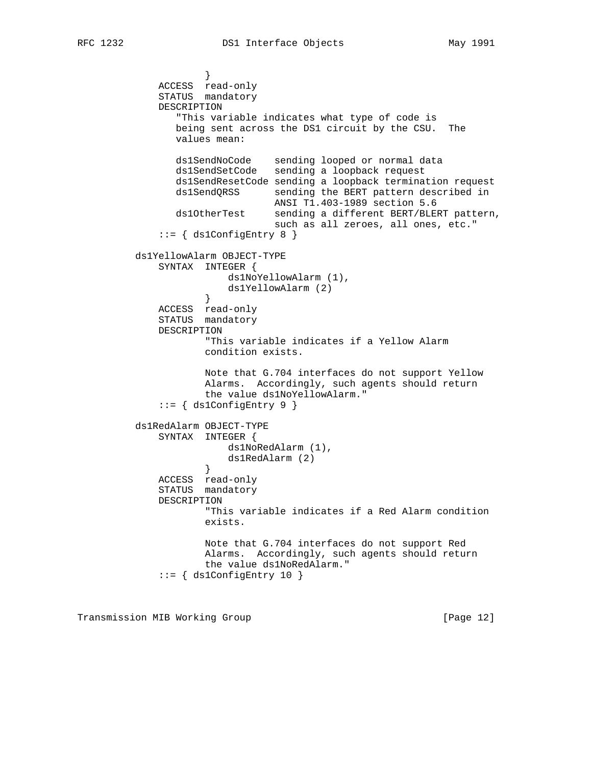```
 }
 ACCESS read-only
STATUS mandatory
             DESCRIPTION
                "This variable indicates what type of code is
                being sent across the DS1 circuit by the CSU. The
                values mean:
                ds1SendNoCode sending looped or normal data
                ds1SendSetCode sending a loopback request
                ds1SendResetCode sending a loopback termination request
               ds1SendQRSS sending the BERT pattern described in
                              ANSI T1.403-1989 section 5.6
                ds1OtherTest sending a different BERT/BLERT pattern,
                               such as all zeroes, all ones, etc."
             ::= { ds1ConfigEntry 8 }
         ds1YellowAlarm OBJECT-TYPE
             SYNTAX INTEGER {
                     ds1NoYellowAlarm (1),
                     ds1YellowAlarm (2)
 }
             ACCESS read-only
             STATUS mandatory
             DESCRIPTION
                     "This variable indicates if a Yellow Alarm
                     condition exists.
                    Note that G.704 interfaces do not support Yellow
                    Alarms. Accordingly, such agents should return
                     the value ds1NoYellowAlarm."
            ::= \{ ds1ConfigEntry 9 \} ds1RedAlarm OBJECT-TYPE
             SYNTAX INTEGER {
                        ds1NoRedAlarm (1),
                     ds1RedAlarm (2)
 }
 ACCESS read-only
STATUS mandatory
             DESCRIPTION
                     "This variable indicates if a Red Alarm condition
                    exists.
                    Note that G.704 interfaces do not support Red
                    Alarms. Accordingly, such agents should return
                    the value ds1NoRedAlarm."
             ::= { ds1ConfigEntry 10 }
```
Transmission MIB Working Group **[Page 12]** [Page 12]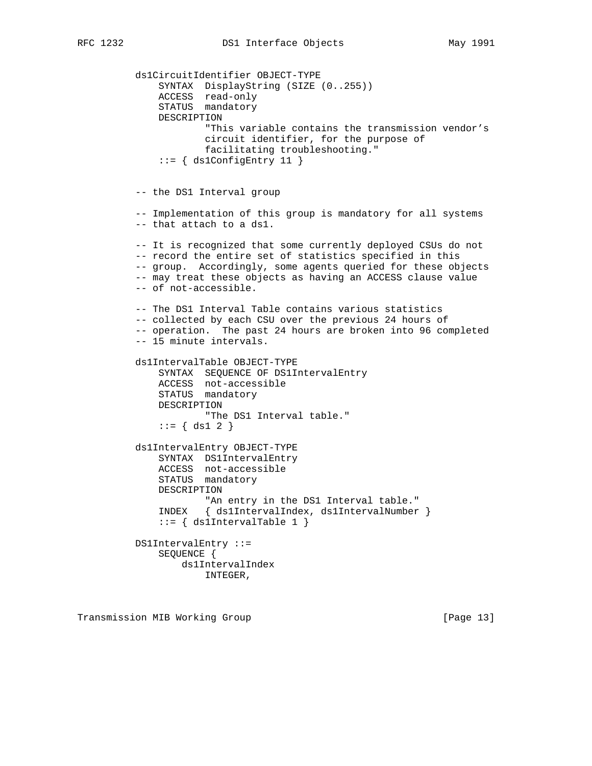ds1CircuitIdentifier OBJECT-TYPE SYNTAX DisplayString (SIZE (0..255)) ACCESS read-only STATUS mandatory DESCRIPTION "This variable contains the transmission vendor's circuit identifier, for the purpose of facilitating troubleshooting."  $::=$   $\{$  ds1ConfigEntry 11  $\}$  -- the DS1 Interval group -- Implementation of this group is mandatory for all systems -- that attach to a ds1. -- It is recognized that some currently deployed CSUs do not -- record the entire set of statistics specified in this -- group. Accordingly, some agents queried for these objects -- may treat these objects as having an ACCESS clause value -- of not-accessible. -- The DS1 Interval Table contains various statistics -- collected by each CSU over the previous 24 hours of -- operation. The past 24 hours are broken into 96 completed -- 15 minute intervals. ds1IntervalTable OBJECT-TYPE SYNTAX SEQUENCE OF DS1IntervalEntry ACCESS not-accessible STATUS mandatory DESCRIPTION "The DS1 Interval table."  $::= \{ ds1 2 \}$  ds1IntervalEntry OBJECT-TYPE SYNTAX DS1IntervalEntry ACCESS not-accessible STATUS mandatory DESCRIPTION "An entry in the DS1 Interval table." INDEX { ds1IntervalIndex, ds1IntervalNumber } ::= { ds1IntervalTable 1 } DS1IntervalEntry ::= SEQUENCE { ds1IntervalIndex INTEGER,

Transmission MIB Working Group **[Page 13]** [Page 13]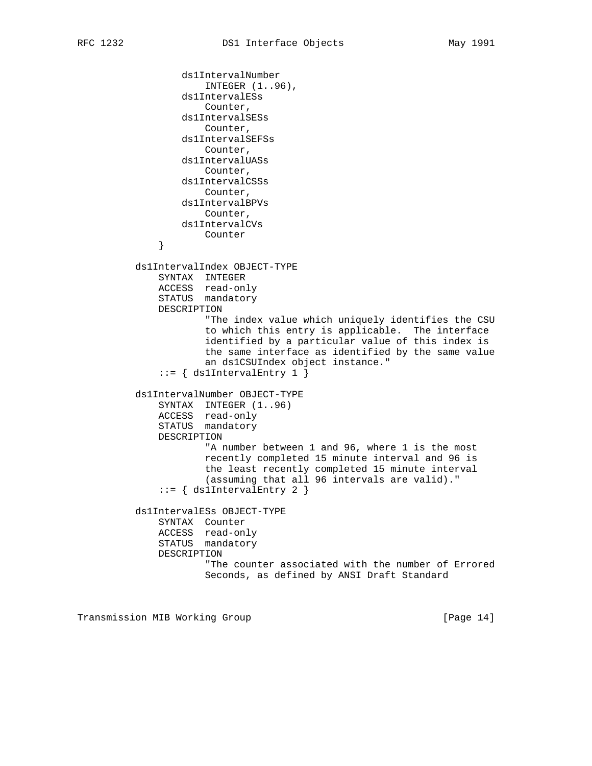```
 ds1IntervalNumber
                       INTEGER (1..96),
                   ds1IntervalESs
                       Counter,
                   ds1IntervalSESs
                       Counter,
                   ds1IntervalSEFSs
                       Counter,
                   ds1IntervalUASs
                      Counter,
                   ds1IntervalCSSs
                      Counter,
                   ds1IntervalBPVs
                      Counter,
                  ds1IntervalCVs
               Counter
 }
          ds1IntervalIndex OBJECT-TYPE
               SYNTAX INTEGER
               ACCESS read-only
               STATUS mandatory
               DESCRIPTION
                       "The index value which uniquely identifies the CSU
                       to which this entry is applicable. The interface
                       identified by a particular value of this index is
                       the same interface as identified by the same value
                       an ds1CSUIndex object instance."
               ::= { ds1IntervalEntry 1 }
          ds1IntervalNumber OBJECT-TYPE
              SYNTAX INTEGER (1..96)
               ACCESS read-only
               STATUS mandatory
              DESCRIPTION
                       "A number between 1 and 96, where 1 is the most
                       recently completed 15 minute interval and 96 is
                       the least recently completed 15 minute interval
                       (assuming that all 96 intervals are valid)."
               ::= { ds1IntervalEntry 2 }
          ds1IntervalESs OBJECT-TYPE
               SYNTAX Counter
               ACCESS read-only
               STATUS mandatory
               DESCRIPTION
                       "The counter associated with the number of Errored
                       Seconds, as defined by ANSI Draft Standard
```
Transmission MIB Working Group **[Page 14]** [Page 14]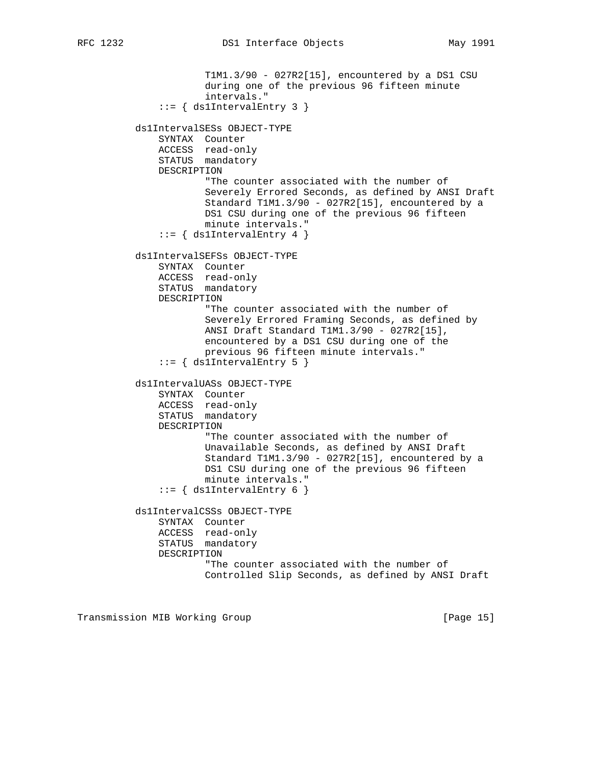```
 T1M1.3/90 - 027R2[15], encountered by a DS1 CSU
             during one of the previous 96 fifteen minute
             intervals."
     ::= { ds1IntervalEntry 3 }
 ds1IntervalSESs OBJECT-TYPE
     SYNTAX Counter
     ACCESS read-only
     STATUS mandatory
     DESCRIPTION
             "The counter associated with the number of
             Severely Errored Seconds, as defined by ANSI Draft
             Standard T1M1.3/90 - 027R2[15], encountered by a
             DS1 CSU during one of the previous 96 fifteen
             minute intervals."
    ::= { ds1IntervalEntry 4 }
 ds1IntervalSEFSs OBJECT-TYPE
     SYNTAX Counter
     ACCESS read-only
     STATUS mandatory
     DESCRIPTION
             "The counter associated with the number of
             Severely Errored Framing Seconds, as defined by
             ANSI Draft Standard T1M1.3/90 - 027R2[15],
             encountered by a DS1 CSU during one of the
             previous 96 fifteen minute intervals."
    ::= \{ ds1IntervalEntry 5 \} ds1IntervalUASs OBJECT-TYPE
     SYNTAX Counter
     ACCESS read-only
     STATUS mandatory
     DESCRIPTION
             "The counter associated with the number of
             Unavailable Seconds, as defined by ANSI Draft
             Standard T1M1.3/90 - 027R2[15], encountered by a
             DS1 CSU during one of the previous 96 fifteen
             minute intervals."
    ::= { ds1IntervalEntry 6 }
 ds1IntervalCSSs OBJECT-TYPE
     SYNTAX Counter
     ACCESS read-only
     STATUS mandatory
     DESCRIPTION
             "The counter associated with the number of
             Controlled Slip Seconds, as defined by ANSI Draft
```
Transmission MIB Working Group **[Page 15]** [Page 15]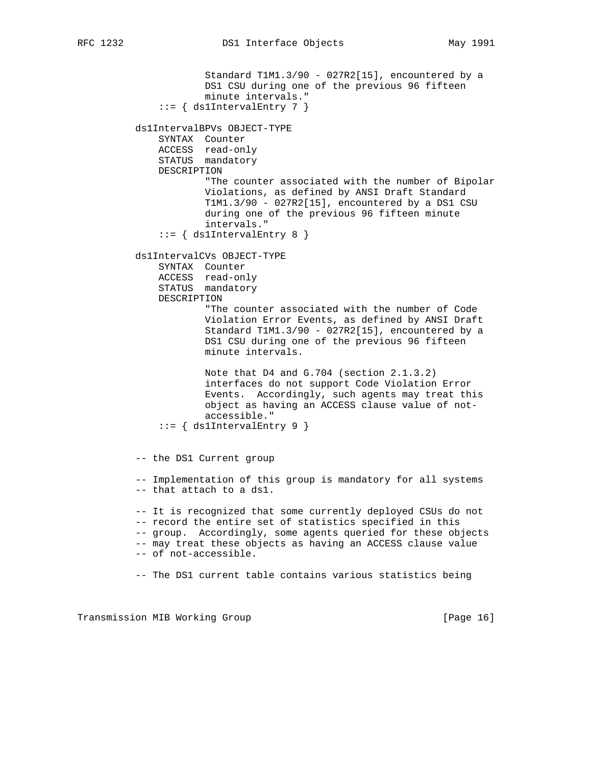```
 Standard T1M1.3/90 - 027R2[15], encountered by a
             DS1 CSU during one of the previous 96 fifteen
             minute intervals."
     ::= { ds1IntervalEntry 7 }
 ds1IntervalBPVs OBJECT-TYPE
     SYNTAX Counter
     ACCESS read-only
     STATUS mandatory
     DESCRIPTION
             "The counter associated with the number of Bipolar
             Violations, as defined by ANSI Draft Standard
             T1M1.3/90 - 027R2[15], encountered by a DS1 CSU
             during one of the previous 96 fifteen minute
             intervals."
    ::= { ds1IntervalEntry 8 }
 ds1IntervalCVs OBJECT-TYPE
     SYNTAX Counter
     ACCESS read-only
     STATUS mandatory
     DESCRIPTION
             "The counter associated with the number of Code
             Violation Error Events, as defined by ANSI Draft
             Standard T1M1.3/90 - 027R2[15], encountered by a
             DS1 CSU during one of the previous 96 fifteen
             minute intervals.
             Note that D4 and G.704 (section 2.1.3.2)
             interfaces do not support Code Violation Error
             Events. Accordingly, such agents may treat this
             object as having an ACCESS clause value of not-
             accessible."
    ::= { ds1IntervalEntry 9 }
```
-- the DS1 Current group

 -- Implementation of this group is mandatory for all systems -- that attach to a ds1.

 -- It is recognized that some currently deployed CSUs do not -- record the entire set of statistics specified in this -- group. Accordingly, some agents queried for these objects -- may treat these objects as having an ACCESS clause value -- of not-accessible.

-- The DS1 current table contains various statistics being

Transmission MIB Working Group **[Page 16]** [Page 16]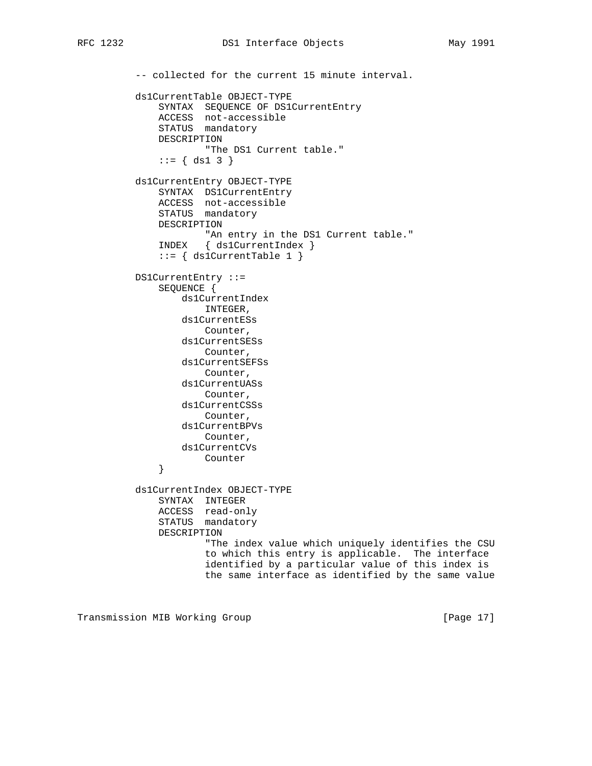-- collected for the current 15 minute interval.

 ds1CurrentTable OBJECT-TYPE SYNTAX SEQUENCE OF DS1CurrentEntry ACCESS not-accessible STATUS mandatory DESCRIPTION "The DS1 Current table." ::= { ds1 3 } ds1CurrentEntry OBJECT-TYPE SYNTAX DS1CurrentEntry ACCESS not-accessible STATUS mandatory DESCRIPTION "An entry in the DS1 Current table." INDEX { ds1CurrentIndex }  $::=$  { ds1CurrentTable 1 } DS1CurrentEntry ::= SEQUENCE { ds1CurrentIndex INTEGER, ds1CurrentESs Counter, ds1CurrentSESs Counter, ds1CurrentSEFSs Counter, ds1CurrentUASs Counter, ds1CurrentCSSs Counter, ds1CurrentBPVs Counter, ds1CurrentCVs Counter } ds1CurrentIndex OBJECT-TYPE SYNTAX INTEGER ACCESS read-only STATUS mandatory DESCRIPTION "The index value which uniquely identifies the CSU to which this entry is applicable. The interface identified by a particular value of this index is the same interface as identified by the same value

Transmission MIB Working Group **[Page 17]** [Page 17]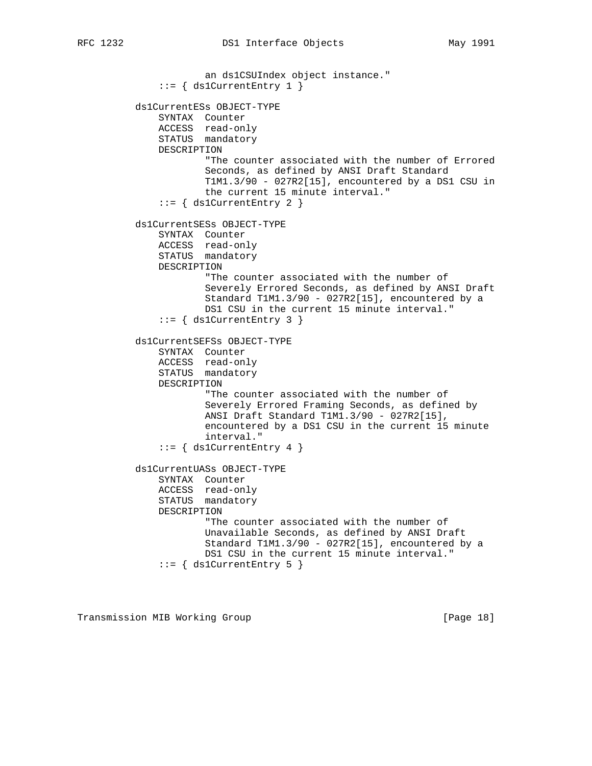an ds1CSUIndex object instance." ::= { ds1CurrentEntry 1 } ds1CurrentESs OBJECT-TYPE SYNTAX Counter ACCESS read-only STATUS mandatory DESCRIPTION "The counter associated with the number of Errored Seconds, as defined by ANSI Draft Standard T1M1.3/90 - 027R2[15], encountered by a DS1 CSU in the current 15 minute interval."  $::=$  { ds1CurrentEntry 2 } ds1CurrentSESs OBJECT-TYPE SYNTAX Counter ACCESS read-only STATUS mandatory DESCRIPTION "The counter associated with the number of Severely Errored Seconds, as defined by ANSI Draft Standard T1M1.3/90 - 027R2[15], encountered by a DS1 CSU in the current 15 minute interval."  $::=$  { ds1CurrentEntry 3 } ds1CurrentSEFSs OBJECT-TYPE SYNTAX Counter ACCESS read-only STATUS mandatory DESCRIPTION "The counter associated with the number of Severely Errored Framing Seconds, as defined by ANSI Draft Standard T1M1.3/90 - 027R2[15], encountered by a DS1 CSU in the current 15 minute interval."  $::=$  { ds1CurrentEntry 4 } ds1CurrentUASs OBJECT-TYPE SYNTAX Counter ACCESS read-only STATUS mandatory DESCRIPTION "The counter associated with the number of Unavailable Seconds, as defined by ANSI Draft Standard T1M1.3/90 - 027R2[15], encountered by a DS1 CSU in the current 15 minute interval."  $::=$  { ds1CurrentEntry 5 }

Transmission MIB Working Group **[Page 18]** [Page 18]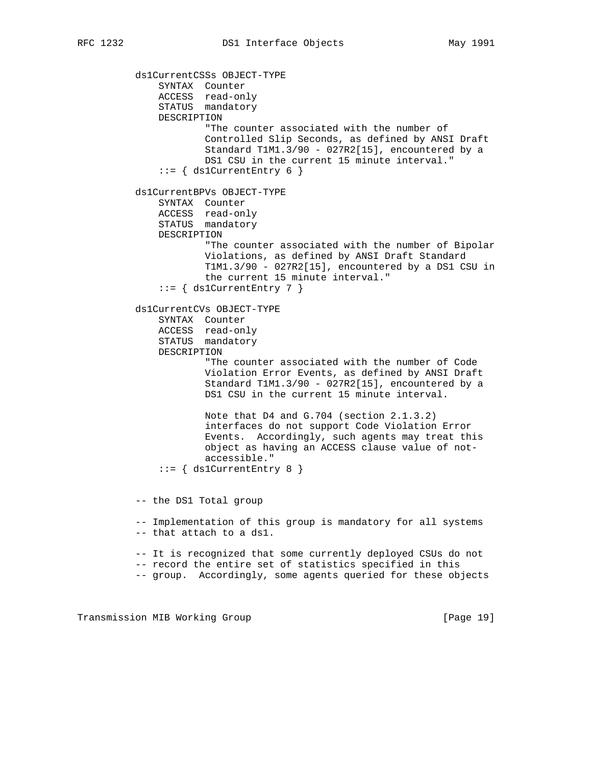ds1CurrentCSSs OBJECT-TYPE SYNTAX Counter ACCESS read-only STATUS mandatory DESCRIPTION "The counter associated with the number of Controlled Slip Seconds, as defined by ANSI Draft Standard T1M1.3/90 - 027R2[15], encountered by a DS1 CSU in the current 15 minute interval."  $::=$  { ds1CurrentEntry 6 } ds1CurrentBPVs OBJECT-TYPE SYNTAX Counter ACCESS read-only STATUS mandatory DESCRIPTION "The counter associated with the number of Bipolar Violations, as defined by ANSI Draft Standard T1M1.3/90 - 027R2[15], encountered by a DS1 CSU in the current 15 minute interval."  $::=$  { ds1CurrentEntry 7 } ds1CurrentCVs OBJECT-TYPE SYNTAX Counter ACCESS read-only STATUS mandatory DESCRIPTION "The counter associated with the number of Code Violation Error Events, as defined by ANSI Draft Standard T1M1.3/90 - 027R2[15], encountered by a DS1 CSU in the current 15 minute interval. Note that D4 and G.704 (section 2.1.3.2) interfaces do not support Code Violation Error Events. Accordingly, such agents may treat this object as having an ACCESS clause value of not accessible."  $::=$  { ds1CurrentEntry 8 } -- the DS1 Total group -- Implementation of this group is mandatory for all systems -- that attach to a ds1. -- It is recognized that some currently deployed CSUs do not -- record the entire set of statistics specified in this -- group. Accordingly, some agents queried for these objects

Transmission MIB Working Group **[Page 19]** [Page 19]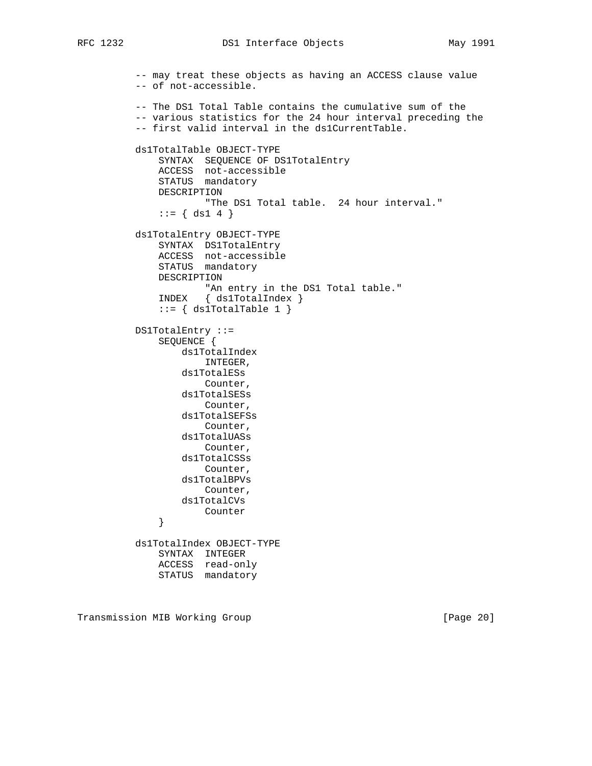```
 -- may treat these objects as having an ACCESS clause value
          -- of not-accessible.
          -- The DS1 Total Table contains the cumulative sum of the
          -- various statistics for the 24 hour interval preceding the
          -- first valid interval in the ds1CurrentTable.
          ds1TotalTable OBJECT-TYPE
              SYNTAX SEQUENCE OF DS1TotalEntry
              ACCESS not-accessible
              STATUS mandatory
              DESCRIPTION
                     "The DS1 Total table. 24 hour interval."
             ::= \{ ds1 4 \} ds1TotalEntry OBJECT-TYPE
SYNTAX DS1TotalEntry
 ACCESS not-accessible
              STATUS mandatory
              DESCRIPTION
                     "An entry in the DS1 Total table."
              INDEX { ds1TotalIndex }
             ::= { ds1TotalTable 1 }
          DS1TotalEntry ::=
              SEQUENCE {
                  ds1TotalIndex
                      INTEGER,
                  ds1TotalESs
                      Counter,
                  ds1TotalSESs
                      Counter,
                  ds1TotalSEFSs
                      Counter,
                  ds1TotalUASs
                      Counter,
                  ds1TotalCSSs
                     Counter,
                  ds1TotalBPVs
                     Counter,
                 ds1TotalCVs
              Counter
 }
          ds1TotalIndex OBJECT-TYPE
              SYNTAX INTEGER
              ACCESS read-only
              STATUS mandatory
```
Transmission MIB Working Group **[Page 20]** [Page 20]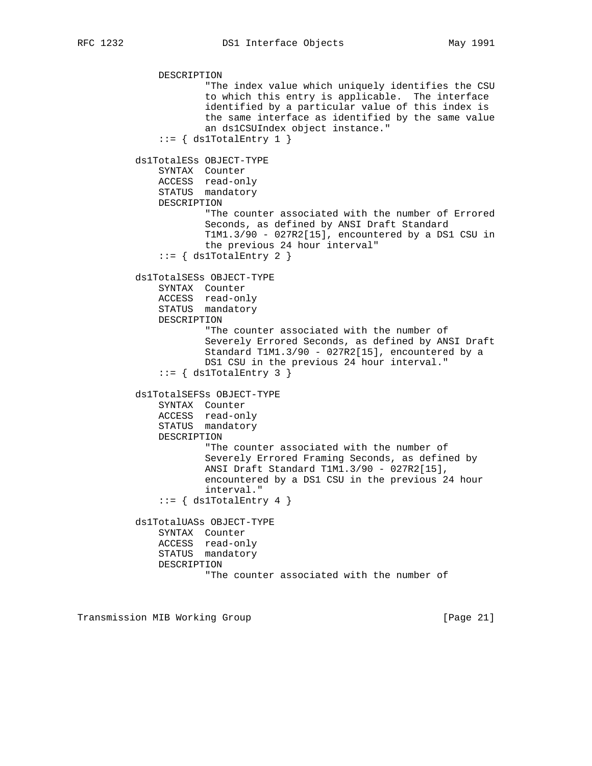```
 DESCRIPTION
             "The index value which uniquely identifies the CSU
             to which this entry is applicable. The interface
             identified by a particular value of this index is
             the same interface as identified by the same value
             an ds1CSUIndex object instance."
    ::= { ds1TotalEntry 1 }
 ds1TotalESs OBJECT-TYPE
     SYNTAX Counter
     ACCESS read-only
     STATUS mandatory
     DESCRIPTION
             "The counter associated with the number of Errored
             Seconds, as defined by ANSI Draft Standard
             T1M1.3/90 - 027R2[15], encountered by a DS1 CSU in
             the previous 24 hour interval"
    ::= { ds1TotalEntry 2 }
 ds1TotalSESs OBJECT-TYPE
     SYNTAX Counter
     ACCESS read-only
     STATUS mandatory
     DESCRIPTION
             "The counter associated with the number of
             Severely Errored Seconds, as defined by ANSI Draft
             Standard T1M1.3/90 - 027R2[15], encountered by a
             DS1 CSU in the previous 24 hour interval."
    ::= { ds1TotalEntry 3 }
 ds1TotalSEFSs OBJECT-TYPE
     SYNTAX Counter
     ACCESS read-only
     STATUS mandatory
     DESCRIPTION
             "The counter associated with the number of
             Severely Errored Framing Seconds, as defined by
             ANSI Draft Standard T1M1.3/90 - 027R2[15],
             encountered by a DS1 CSU in the previous 24 hour
             interval."
    ::= { ds1TotalEntry 4 }
 ds1TotalUASs OBJECT-TYPE
     SYNTAX Counter
     ACCESS read-only
     STATUS mandatory
     DESCRIPTION
             "The counter associated with the number of
```
Transmission MIB Working Group **[Page 21]** [Page 21]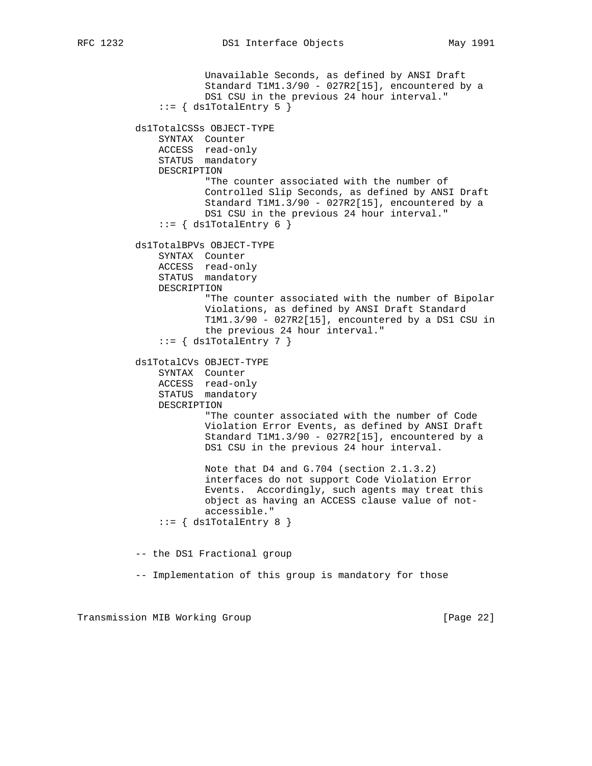```
 Unavailable Seconds, as defined by ANSI Draft
             Standard T1M1.3/90 - 027R2[15], encountered by a
             DS1 CSU in the previous 24 hour interval."
    ::= { ds1TotalEntry 5 }
 ds1TotalCSSs OBJECT-TYPE
     SYNTAX Counter
     ACCESS read-only
     STATUS mandatory
     DESCRIPTION
             "The counter associated with the number of
             Controlled Slip Seconds, as defined by ANSI Draft
             Standard T1M1.3/90 - 027R2[15], encountered by a
             DS1 CSU in the previous 24 hour interval."
    ::= { ds1TotalEntry 6 }
 ds1TotalBPVs OBJECT-TYPE
     SYNTAX Counter
     ACCESS read-only
     STATUS mandatory
     DESCRIPTION
             "The counter associated with the number of Bipolar
             Violations, as defined by ANSI Draft Standard
             T1M1.3/90 - 027R2[15], encountered by a DS1 CSU in
             the previous 24 hour interval."
    ::= { ds1TotalEntry 7 }
 ds1TotalCVs OBJECT-TYPE
     SYNTAX Counter
     ACCESS read-only
     STATUS mandatory
     DESCRIPTION
             "The counter associated with the number of Code
             Violation Error Events, as defined by ANSI Draft
             Standard T1M1.3/90 - 027R2[15], encountered by a
             DS1 CSU in the previous 24 hour interval.
             Note that D4 and G.704 (section 2.1.3.2)
             interfaces do not support Code Violation Error
             Events. Accordingly, such agents may treat this
             object as having an ACCESS clause value of not-
             accessible."
    ::= { ds1TotalEntry 8 }
 -- the DS1 Fractional group
 -- Implementation of this group is mandatory for those
```
Transmission MIB Working Group **[Page 22]**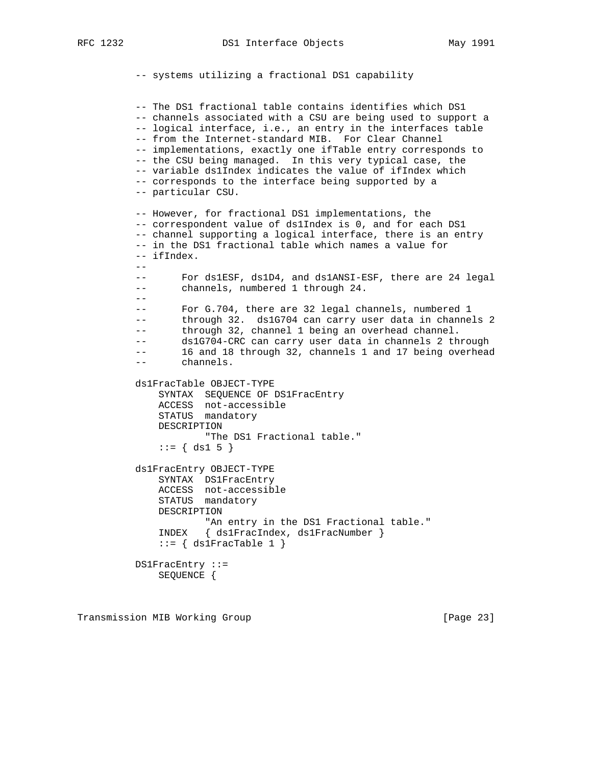```
 -- systems utilizing a fractional DS1 capability
          -- The DS1 fractional table contains identifies which DS1
          -- channels associated with a CSU are being used to support a
          -- logical interface, i.e., an entry in the interfaces table
          -- from the Internet-standard MIB. For Clear Channel
          -- implementations, exactly one ifTable entry corresponds to
          -- the CSU being managed. In this very typical case, the
          -- variable ds1Index indicates the value of ifIndex which
          -- corresponds to the interface being supported by a
          -- particular CSU.
          -- However, for fractional DS1 implementations, the
          -- correspondent value of ds1Index is 0, and for each DS1
          -- channel supporting a logical interface, there is an entry
          -- in the DS1 fractional table which names a value for
          -- ifIndex.
 --
          -- For ds1ESF, ds1D4, and ds1ANSI-ESF, there are 24 legal
          -- channels, numbered 1 through 24.
          --
          -- For G.704, there are 32 legal channels, numbered 1
          -- through 32. ds1G704 can carry user data in channels 2
          -- through 32, channel 1 being an overhead channel.
          -- ds1G704-CRC can carry user data in channels 2 through
          -- 16 and 18 through 32, channels 1 and 17 being overhead
                channels.
          ds1FracTable OBJECT-TYPE
              SYNTAX SEQUENCE OF DS1FracEntry
              ACCESS not-accessible
              STATUS mandatory
              DESCRIPTION
                      "The DS1 Fractional table."
             ::= { ds1 5 }
          ds1FracEntry OBJECT-TYPE
SYNTAX DS1FracEntry
 ACCESS not-accessible
              STATUS mandatory
              DESCRIPTION
                     "An entry in the DS1 Fractional table."
              INDEX { ds1FracIndex, ds1FracNumber }
             ::= { ds1FracTable 1 }
          DS1FracEntry ::=
              SEQUENCE {
```
Transmission MIB Working Group **[Page 23]**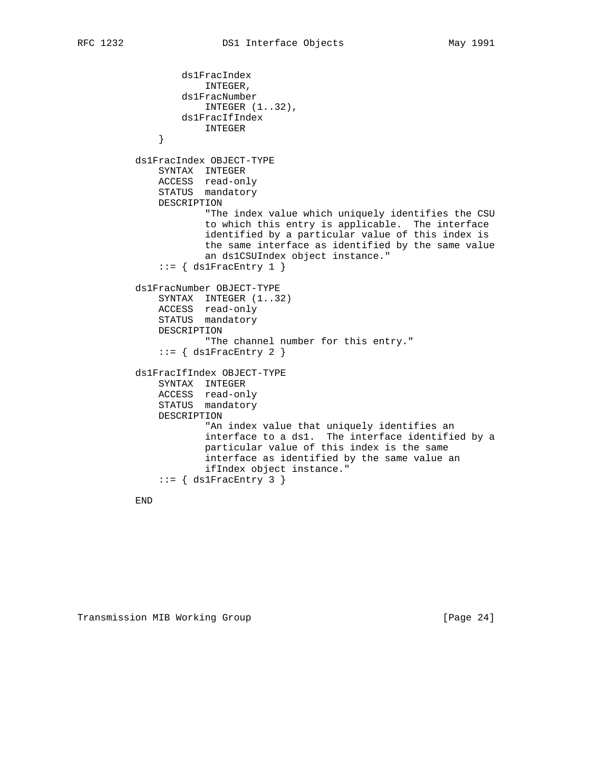```
 ds1FracIndex
                      INTEGER,
                  ds1FracNumber
                      INTEGER (1..32),
                  ds1FracIfIndex
               INTEGER
 }
          ds1FracIndex OBJECT-TYPE
              SYNTAX INTEGER
              ACCESS read-only
              STATUS mandatory
              DESCRIPTION
                       "The index value which uniquely identifies the CSU
                       to which this entry is applicable. The interface
                       identified by a particular value of this index is
                       the same interface as identified by the same value
                       an ds1CSUIndex object instance."
              ::= { ds1FracEntry 1 }
          ds1FracNumber OBJECT-TYPE
              SYNTAX INTEGER (1..32)
              ACCESS read-only
              STATUS mandatory
              DESCRIPTION
                       "The channel number for this entry."
             ::= { ds1FracEntry 2 }
          ds1FracIfIndex OBJECT-TYPE
              SYNTAX INTEGER
              ACCESS read-only
              STATUS mandatory
              DESCRIPTION
                       "An index value that uniquely identifies an
                       interface to a ds1. The interface identified by a
                      particular value of this index is the same
                       interface as identified by the same value an
                       ifIndex object instance."
              ::= { ds1FracEntry 3 }
```
END

Transmission MIB Working Group **[Page 24]** [Page 24]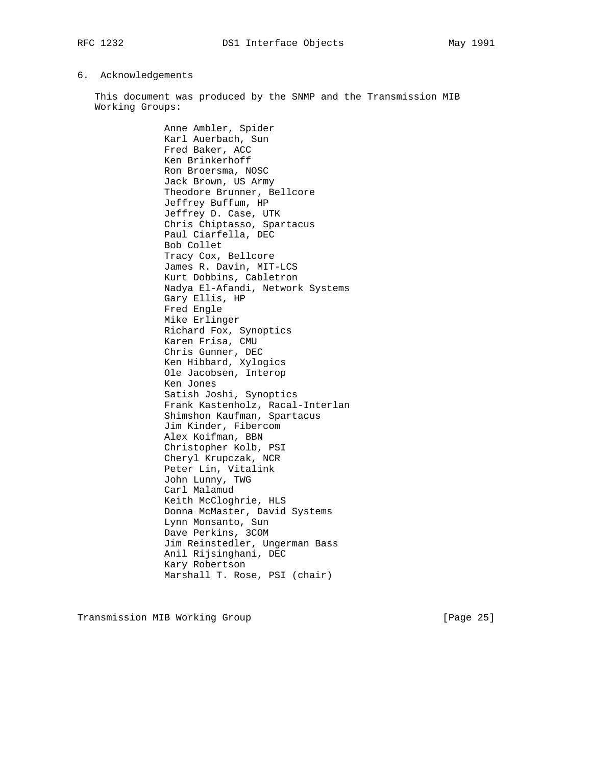### 6. Acknowledgements

 This document was produced by the SNMP and the Transmission MIB Working Groups:

> Anne Ambler, Spider Karl Auerbach, Sun Fred Baker, ACC Ken Brinkerhoff Ron Broersma, NOSC Jack Brown, US Army Theodore Brunner, Bellcore Jeffrey Buffum, HP Jeffrey D. Case, UTK Chris Chiptasso, Spartacus Paul Ciarfella, DEC Bob Collet Tracy Cox, Bellcore James R. Davin, MIT-LCS Kurt Dobbins, Cabletron Nadya El-Afandi, Network Systems Gary Ellis, HP Fred Engle Mike Erlinger Richard Fox, Synoptics Karen Frisa, CMU Chris Gunner, DEC Ken Hibbard, Xylogics Ole Jacobsen, Interop Ken Jones Satish Joshi, Synoptics Frank Kastenholz, Racal-Interlan Shimshon Kaufman, Spartacus Jim Kinder, Fibercom Alex Koifman, BBN Christopher Kolb, PSI Cheryl Krupczak, NCR Peter Lin, Vitalink John Lunny, TWG Carl Malamud Keith McCloghrie, HLS Donna McMaster, David Systems Lynn Monsanto, Sun Dave Perkins, 3COM Jim Reinstedler, Ungerman Bass Anil Rijsinghani, DEC Kary Robertson Marshall T. Rose, PSI (chair)

Transmission MIB Working Group **[Page 25]** [Page 25]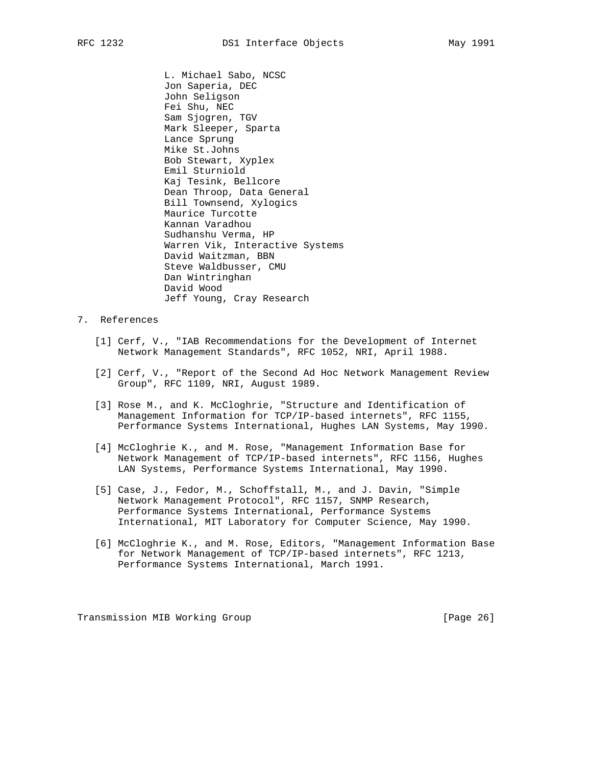L. Michael Sabo, NCSC Jon Saperia, DEC John Seligson Fei Shu, NEC Sam Sjogren, TGV Mark Sleeper, Sparta Lance Sprung Mike St.Johns Bob Stewart, Xyplex Emil Sturniold Kaj Tesink, Bellcore Dean Throop, Data General Bill Townsend, Xylogics Maurice Turcotte Kannan Varadhou Sudhanshu Verma, HP Warren Vik, Interactive Systems David Waitzman, BBN Steve Waldbusser, CMU Dan Wintringhan David Wood Jeff Young, Cray Research

# 7. References

- [1] Cerf, V., "IAB Recommendations for the Development of Internet Network Management Standards", RFC 1052, NRI, April 1988.
- [2] Cerf, V., "Report of the Second Ad Hoc Network Management Review Group", RFC 1109, NRI, August 1989.
- [3] Rose M., and K. McCloghrie, "Structure and Identification of Management Information for TCP/IP-based internets", RFC 1155, Performance Systems International, Hughes LAN Systems, May 1990.
- [4] McCloghrie K., and M. Rose, "Management Information Base for Network Management of TCP/IP-based internets", RFC 1156, Hughes LAN Systems, Performance Systems International, May 1990.
- [5] Case, J., Fedor, M., Schoffstall, M., and J. Davin, "Simple Network Management Protocol", RFC 1157, SNMP Research, Performance Systems International, Performance Systems International, MIT Laboratory for Computer Science, May 1990.
- [6] McCloghrie K., and M. Rose, Editors, "Management Information Base for Network Management of TCP/IP-based internets", RFC 1213, Performance Systems International, March 1991.

Transmission MIB Working Group **[Page 26]** [Page 26]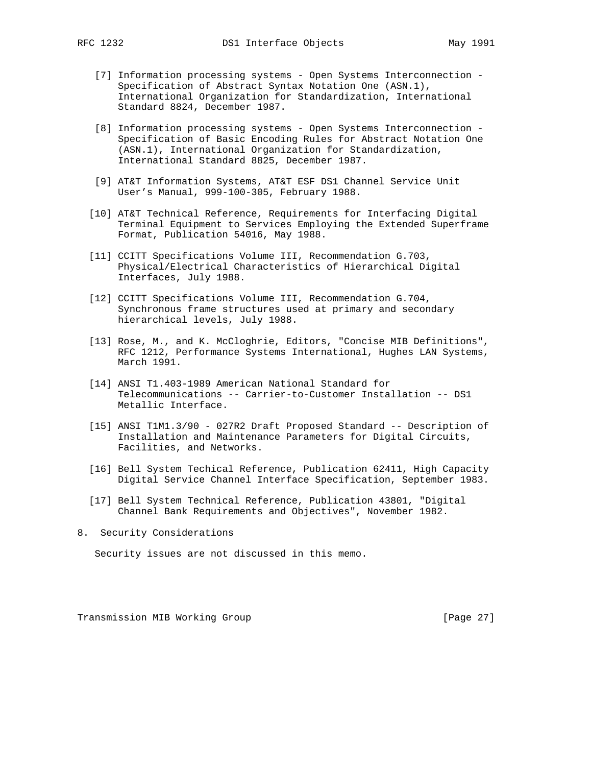- [7] Information processing systems Open Systems Interconnection Specification of Abstract Syntax Notation One (ASN.1), International Organization for Standardization, International Standard 8824, December 1987.
- [8] Information processing systems Open Systems Interconnection Specification of Basic Encoding Rules for Abstract Notation One (ASN.1), International Organization for Standardization, International Standard 8825, December 1987.
- [9] AT&T Information Systems, AT&T ESF DS1 Channel Service Unit User's Manual, 999-100-305, February 1988.
- [10] AT&T Technical Reference, Requirements for Interfacing Digital Terminal Equipment to Services Employing the Extended Superframe Format, Publication 54016, May 1988.
- [11] CCITT Specifications Volume III, Recommendation G.703, Physical/Electrical Characteristics of Hierarchical Digital Interfaces, July 1988.
- [12] CCITT Specifications Volume III, Recommendation G.704, Synchronous frame structures used at primary and secondary hierarchical levels, July 1988.
- [13] Rose, M., and K. McCloghrie, Editors, "Concise MIB Definitions", RFC 1212, Performance Systems International, Hughes LAN Systems, March 1991.
- [14] ANSI T1.403-1989 American National Standard for Telecommunications -- Carrier-to-Customer Installation -- DS1 Metallic Interface.
- [15] ANSI T1M1.3/90 027R2 Draft Proposed Standard -- Description of Installation and Maintenance Parameters for Digital Circuits, Facilities, and Networks.
- [16] Bell System Techical Reference, Publication 62411, High Capacity Digital Service Channel Interface Specification, September 1983.
- [17] Bell System Technical Reference, Publication 43801, "Digital Channel Bank Requirements and Objectives", November 1982.
- 8. Security Considerations

Security issues are not discussed in this memo.

Transmission MIB Working Group **[Page 27]** [Page 27]